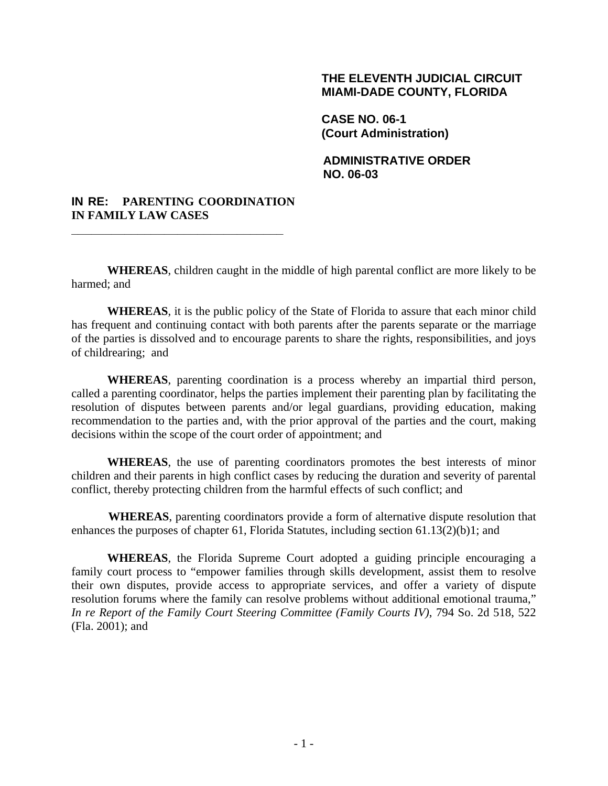### **THE ELEVENTH JUDICIAL CIRCUIT MIAMI-DADE COUNTY, FLORIDA**

**CASE NO. 06-1 (Court Administration)** 

**ADMINISTRATIVE ORDER NO. 06-03** 

### **IN RE: PARENTING COORDINATION IN FAMILY LAW CASES**

**\_\_\_\_\_\_\_\_\_\_\_\_\_\_\_\_\_\_\_\_\_\_\_\_\_\_\_\_\_\_\_\_** 

**WHEREAS**, children caught in the middle of high parental conflict are more likely to be harmed; and

**WHEREAS**, it is the public policy of the State of Florida to assure that each minor child has frequent and continuing contact with both parents after the parents separate or the marriage of the parties is dissolved and to encourage parents to share the rights, responsibilities, and joys of childrearing; and

**WHEREAS**, parenting coordination is a process whereby an impartial third person, called a parenting coordinator, helps the parties implement their parenting plan by facilitating the resolution of disputes between parents and/or legal guardians, providing education, making recommendation to the parties and, with the prior approval of the parties and the court, making decisions within the scope of the court order of appointment; and

**WHEREAS**, the use of parenting coordinators promotes the best interests of minor children and their parents in high conflict cases by reducing the duration and severity of parental conflict, thereby protecting children from the harmful effects of such conflict; and

**WHEREAS**, parenting coordinators provide a form of alternative dispute resolution that enhances the purposes of chapter 61, Florida Statutes, including section 61.13(2)(b)1; and

**WHEREAS**, the Florida Supreme Court adopted a guiding principle encouraging a family court process to "empower families through skills development, assist them to resolve their own disputes, provide access to appropriate services, and offer a variety of dispute resolution forums where the family can resolve problems without additional emotional trauma," *In re Report of the Family Court Steering Committee (Family Courts IV)*, 794 So. 2d 518, 522 (Fla. 2001); and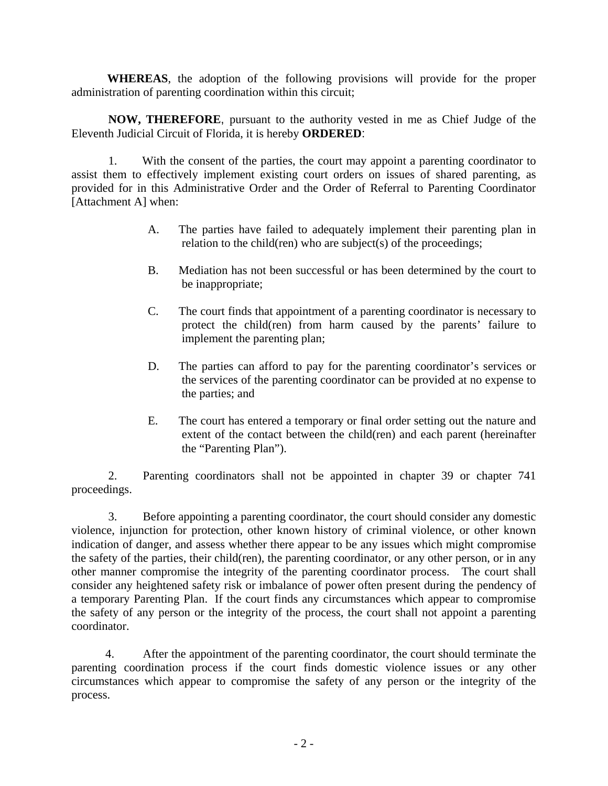**WHEREAS**, the adoption of the following provisions will provide for the proper administration of parenting coordination within this circuit;

**NOW, THEREFORE**, pursuant to the authority vested in me as Chief Judge of the Eleventh Judicial Circuit of Florida, it is hereby **ORDERED**:

1. With the consent of the parties, the court may appoint a parenting coordinator to assist them to effectively implement existing court orders on issues of shared parenting, as provided for in this Administrative Order and the Order of Referral to Parenting Coordinator [Attachment A] when:

- A. The parties have failed to adequately implement their parenting plan in relation to the child(ren) who are subject(s) of the proceedings;
- B. Mediation has not been successful or has been determined by the court to be inappropriate;
- C. The court finds that appointment of a parenting coordinator is necessary to protect the child(ren) from harm caused by the parents' failure to implement the parenting plan;
- D. The parties can afford to pay for the parenting coordinator's services or the services of the parenting coordinator can be provided at no expense to the parties; and
- E. The court has entered a temporary or final order setting out the nature and extent of the contact between the child(ren) and each parent (hereinafter the "Parenting Plan").

2. Parenting coordinators shall not be appointed in chapter 39 or chapter 741 proceedings.

3. Before appointing a parenting coordinator, the court should consider any domestic violence, injunction for protection, other known history of criminal violence, or other known indication of danger, and assess whether there appear to be any issues which might compromise the safety of the parties, their child(ren), the parenting coordinator, or any other person, or in any other manner compromise the integrity of the parenting coordinator process. The court shall consider any heightened safety risk or imbalance of power often present during the pendency of a temporary Parenting Plan. If the court finds any circumstances which appear to compromise the safety of any person or the integrity of the process, the court shall not appoint a parenting coordinator.

 4. After the appointment of the parenting coordinator, the court should terminate the parenting coordination process if the court finds domestic violence issues or any other circumstances which appear to compromise the safety of any person or the integrity of the process.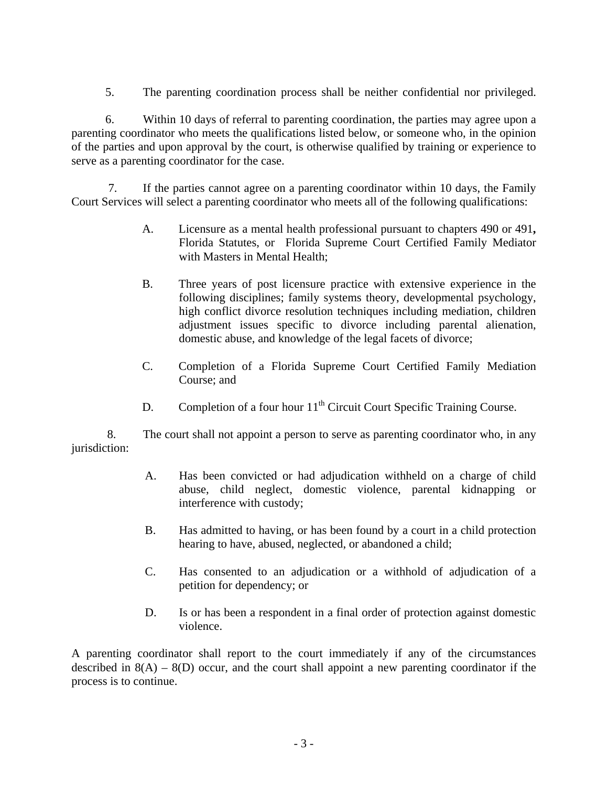5. The parenting coordination process shall be neither confidential nor privileged.

 6. Within 10 days of referral to parenting coordination, the parties may agree upon a parenting coordinator who meets the qualifications listed below, or someone who, in the opinion of the parties and upon approval by the court, is otherwise qualified by training or experience to serve as a parenting coordinator for the case.

7. If the parties cannot agree on a parenting coordinator within 10 days, the Family Court Services will select a parenting coordinator who meets all of the following qualifications:

- A. Licensure as a mental health professional pursuant to chapters 490 or 491**,**  Florida Statutes, or Florida Supreme Court Certified Family Mediator with Masters in Mental Health;
- B. Three years of post licensure practice with extensive experience in the following disciplines; family systems theory, developmental psychology, high conflict divorce resolution techniques including mediation, children adjustment issues specific to divorce including parental alienation, domestic abuse, and knowledge of the legal facets of divorce;
- C. Completion of a Florida Supreme Court Certified Family Mediation Course; and
- D. Completion of a four hour  $11<sup>th</sup>$  Circuit Court Specific Training Course.

 8. The court shall not appoint a person to serve as parenting coordinator who, in any jurisdiction:

- A. Has been convicted or had adjudication withheld on a charge of child abuse, child neglect, domestic violence, parental kidnapping or interference with custody;
- B. Has admitted to having, or has been found by a court in a child protection hearing to have, abused, neglected, or abandoned a child;
- C. Has consented to an adjudication or a withhold of adjudication of a petition for dependency; or
- D. Is or has been a respondent in a final order of protection against domestic violence.

A parenting coordinator shall report to the court immediately if any of the circumstances described in  $8(A) - 8(D)$  occur, and the court shall appoint a new parenting coordinator if the process is to continue.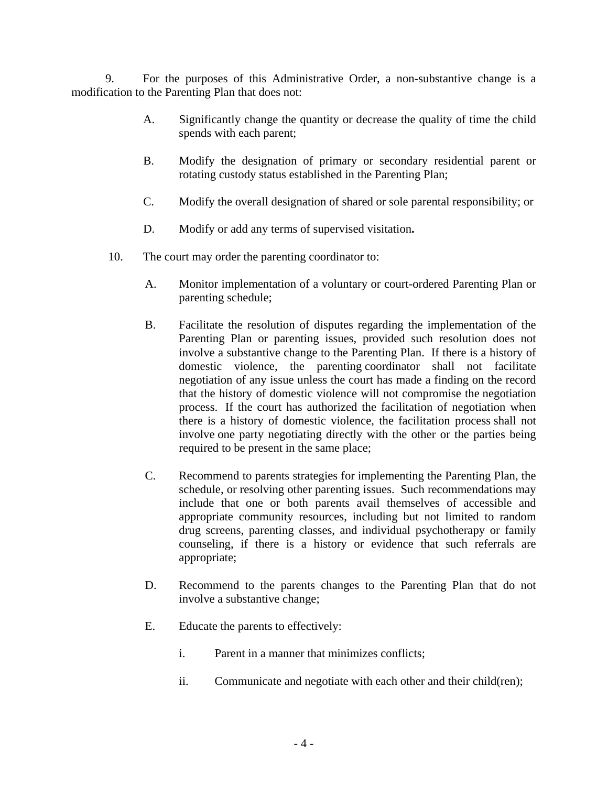9. For the purposes of this Administrative Order, a non-substantive change is a modification to the Parenting Plan that does not:

- A. Significantly change the quantity or decrease the quality of time the child spends with each parent;
- B. Modify the designation of primary or secondary residential parent or rotating custody status established in the Parenting Plan;
- C. Modify the overall designation of shared or sole parental responsibility; or
- D. Modify or add any terms of supervised visitation**.**
- 10. The court may order the parenting coordinator to:
	- A. Monitor implementation of a voluntary or court-ordered Parenting Plan or parenting schedule;
	- B. Facilitate the resolution of disputes regarding the implementation of the Parenting Plan or parenting issues, provided such resolution does not involve a substantive change to the Parenting Plan. If there is a history of domestic violence, the parenting coordinator shall not facilitate negotiation of any issue unless the court has made a finding on the record that the history of domestic violence will not compromise the negotiation process. If the court has authorized the facilitation of negotiation when there is a history of domestic violence, the facilitation process shall not involve one party negotiating directly with the other or the parties being required to be present in the same place;
	- C. Recommend to parents strategies for implementing the Parenting Plan, the schedule, or resolving other parenting issues. Such recommendations may include that one or both parents avail themselves of accessible and appropriate community resources, including but not limited to random drug screens, parenting classes, and individual psychotherapy or family counseling, if there is a history or evidence that such referrals are appropriate;
	- D. Recommend to the parents changes to the Parenting Plan that do not involve a substantive change;
	- E. Educate the parents to effectively:
		- i. Parent in a manner that minimizes conflicts;
		- ii. Communicate and negotiate with each other and their child(ren);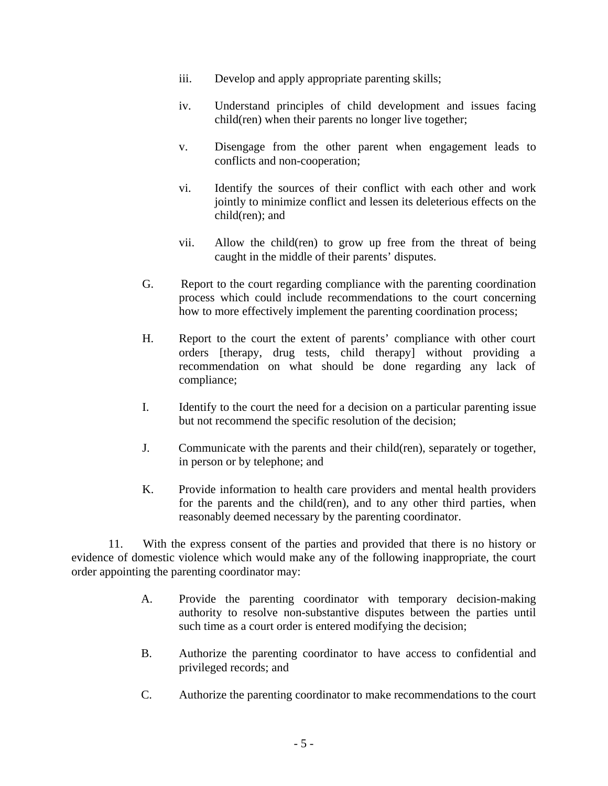- iii. Develop and apply appropriate parenting skills;
- iv. Understand principles of child development and issues facing child(ren) when their parents no longer live together;
- v. Disengage from the other parent when engagement leads to conflicts and non-cooperation;
- vi. Identify the sources of their conflict with each other and work jointly to minimize conflict and lessen its deleterious effects on the child(ren); and
- vii. Allow the child(ren) to grow up free from the threat of being caught in the middle of their parents' disputes.
- G. Report to the court regarding compliance with the parenting coordination process which could include recommendations to the court concerning how to more effectively implement the parenting coordination process;
- H. Report to the court the extent of parents' compliance with other court orders [therapy, drug tests, child therapy] without providing a recommendation on what should be done regarding any lack of compliance;
- I. Identify to the court the need for a decision on a particular parenting issue but not recommend the specific resolution of the decision;
- J. Communicate with the parents and their child(ren), separately or together, in person or by telephone; and
- K. Provide information to health care providers and mental health providers for the parents and the child(ren), and to any other third parties, when reasonably deemed necessary by the parenting coordinator.

11. With the express consent of the parties and provided that there is no history or evidence of domestic violence which would make any of the following inappropriate, the court order appointing the parenting coordinator may:

- A. Provide the parenting coordinator with temporary decision-making authority to resolve non-substantive disputes between the parties until such time as a court order is entered modifying the decision;
- B. Authorize the parenting coordinator to have access to confidential and privileged records; and
- C. Authorize the parenting coordinator to make recommendations to the court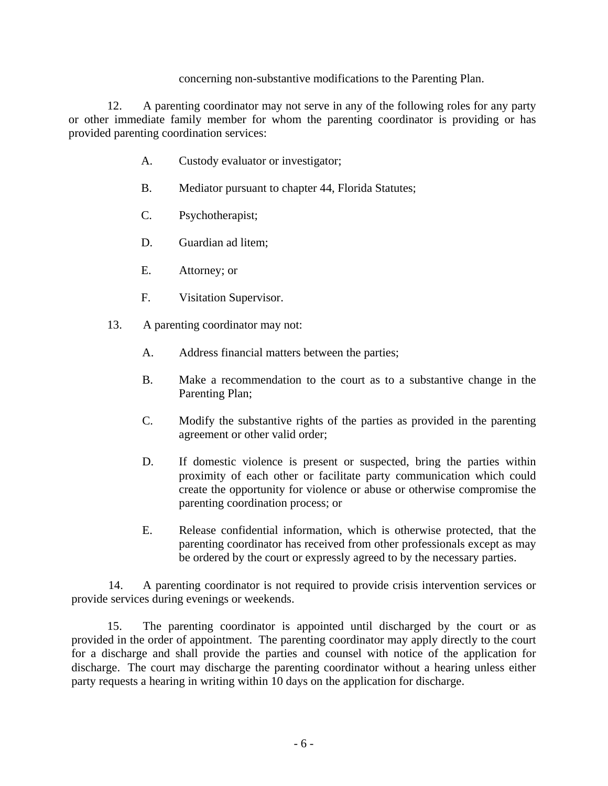### concerning non-substantive modifications to the Parenting Plan.

12. A parenting coordinator may not serve in any of the following roles for any party or other immediate family member for whom the parenting coordinator is providing or has provided parenting coordination services:

- A. Custody evaluator or investigator;
- B. Mediator pursuant to chapter 44, Florida Statutes;
- C. Psychotherapist;
- D. Guardian ad litem;
- E. Attorney; or
- F. Visitation Supervisor.
- 13. A parenting coordinator may not:
	- A. Address financial matters between the parties;
	- B. Make a recommendation to the court as to a substantive change in the Parenting Plan;
	- C. Modify the substantive rights of the parties as provided in the parenting agreement or other valid order;
	- D. If domestic violence is present or suspected, bring the parties within proximity of each other or facilitate party communication which could create the opportunity for violence or abuse or otherwise compromise the parenting coordination process; or
	- E. Release confidential information, which is otherwise protected, that the parenting coordinator has received from other professionals except as may be ordered by the court or expressly agreed to by the necessary parties.

14. A parenting coordinator is not required to provide crisis intervention services or provide services during evenings or weekends.

 15. The parenting coordinator is appointed until discharged by the court or as provided in the order of appointment. The parenting coordinator may apply directly to the court for a discharge and shall provide the parties and counsel with notice of the application for discharge. The court may discharge the parenting coordinator without a hearing unless either party requests a hearing in writing within 10 days on the application for discharge.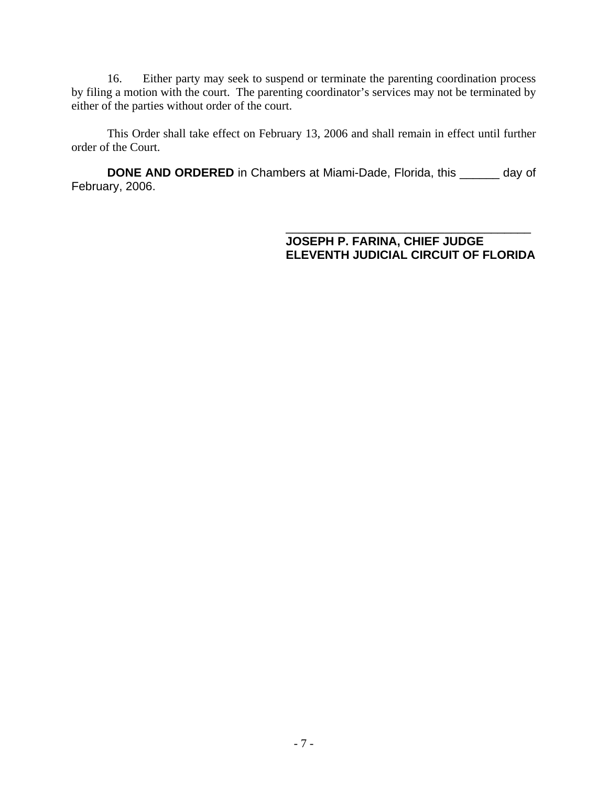16. Either party may seek to suspend or terminate the parenting coordination process by filing a motion with the court. The parenting coordinator's services may not be terminated by either of the parties without order of the court.

This Order shall take effect on February 13, 2006 and shall remain in effect until further order of the Court.

**DONE AND ORDERED** in Chambers at Miami-Dade, Florida, this \_\_\_\_\_\_ day of February, 2006.

> \_\_\_\_\_\_\_\_\_\_\_\_\_\_\_\_\_\_\_\_\_\_\_\_\_\_\_\_\_\_\_\_\_\_\_\_\_ **JOSEPH P. FARINA, CHIEF JUDGE ELEVENTH JUDICIAL CIRCUIT OF FLORIDA**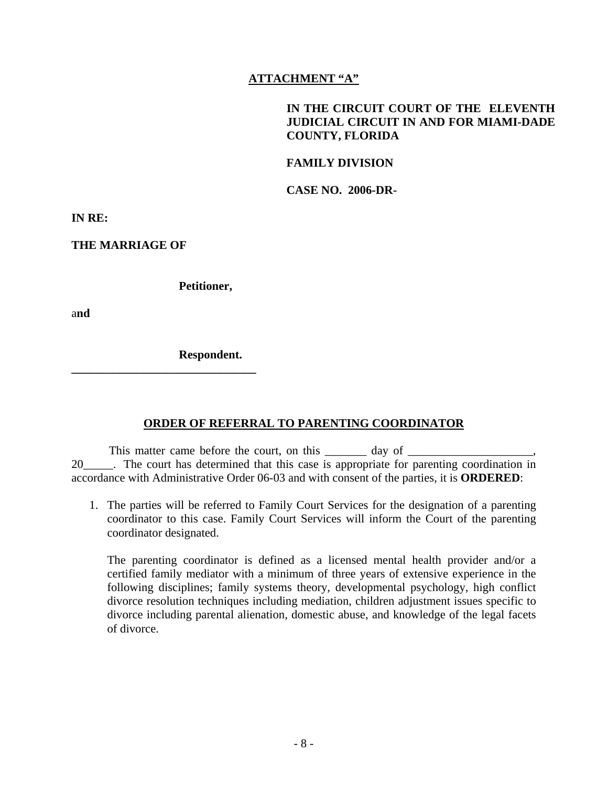# **ATTACHMENT "A"**

# **IN THE CIRCUIT COURT OF THE ELEVENTH JUDICIAL CIRCUIT IN AND FOR MIAMI-DADE COUNTY, FLORIDA**

### **FAMILY DIVISION**

**CASE NO. 2006-DR-**

**IN RE:** 

**THE MARRIAGE OF** 

 **Petitioner,** 

a**nd** 

 **Respondent.** 

**\_\_\_\_\_\_\_\_\_\_\_\_\_\_\_\_\_\_\_\_\_\_\_\_\_\_\_\_\_\_\_** 

### **ORDER OF REFERRAL TO PARENTING COORDINATOR**

This matter came before the court, on this \_\_\_\_\_\_\_\_\_\_\_\_\_ day of \_\_\_\_\_\_\_\_\_\_\_\_\_\_\_\_\_ 20 The court has determined that this case is appropriate for parenting coordination in accordance with Administrative Order 06-03 and with consent of the parties, it is **ORDERED**:

1. The parties will be referred to Family Court Services for the designation of a parenting coordinator to this case. Family Court Services will inform the Court of the parenting coordinator designated.

 The parenting coordinator is defined as a licensed mental health provider and/or a certified family mediator with a minimum of three years of extensive experience in the following disciplines; family systems theory, developmental psychology, high conflict divorce resolution techniques including mediation, children adjustment issues specific to divorce including parental alienation, domestic abuse, and knowledge of the legal facets of divorce.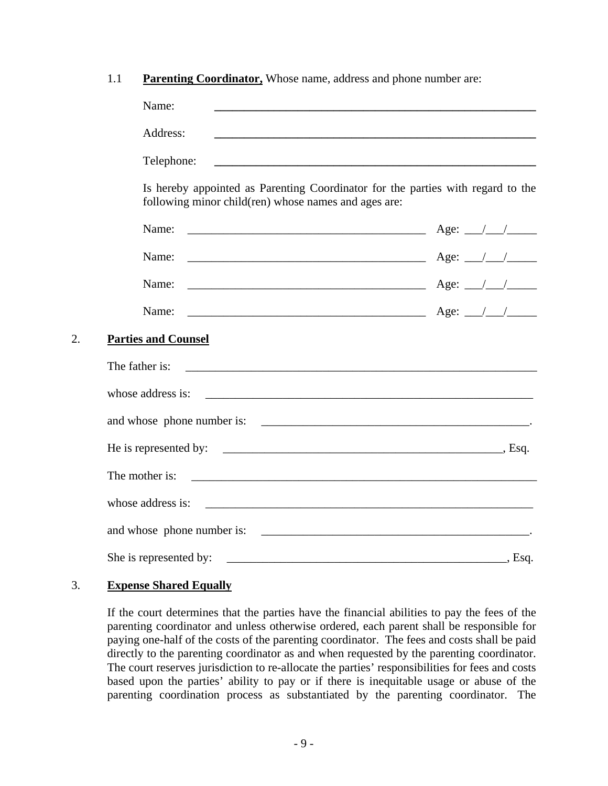|  | <b>Parenting Coordinator, Whose name, address and phone number are:</b> |
|--|-------------------------------------------------------------------------|
|--|-------------------------------------------------------------------------|

|    | Name:                                                                                                                                    | <u> 1980 - Jan Barbara de Barbara, poeta esperanto-se especial de la provincia de la provincia de la provincia d</u>  |
|----|------------------------------------------------------------------------------------------------------------------------------------------|-----------------------------------------------------------------------------------------------------------------------|
|    | Address:                                                                                                                                 |                                                                                                                       |
|    | Telephone:                                                                                                                               | <u> 1989 - Andrea Stadt Britain, amerikansk politik (* 1958)</u>                                                      |
|    | Is hereby appointed as Parenting Coordinator for the parties with regard to the<br>following minor child (ren) whose names and ages are: |                                                                                                                       |
|    | Name:                                                                                                                                    |                                                                                                                       |
|    | Name:<br><u> 1989 - Jan James James Barnett, fransk politik (d. 1989)</u>                                                                | Age: $\angle$ / /                                                                                                     |
|    | Name:<br><u> 2000 - 2000 - 2000 - 2000 - 2000 - 2000 - 2000 - 2000 - 2000 - 2000 - 2000 - 2000 - 2000 - 2000 - 2000 - 200</u>            | Age: $\angle$ / /                                                                                                     |
|    | Name:                                                                                                                                    | $\overline{\phantom{a}}$ Age: $\frac{\phantom{a}}{\phantom{a}}$                                                       |
| 2. | <b>Parties and Counsel</b>                                                                                                               |                                                                                                                       |
|    | The father is:                                                                                                                           |                                                                                                                       |
|    | whose address is:                                                                                                                        | <u> 1980 - Jan Barbara, margaretar amerikan basar dan berasal dalam basa dan berasal dan berasal dalam berasal da</u> |
|    |                                                                                                                                          |                                                                                                                       |
|    | He is represented by: $\qquad \qquad$ Esq.                                                                                               |                                                                                                                       |
|    | The mother is:                                                                                                                           |                                                                                                                       |
|    | whose address is:                                                                                                                        |                                                                                                                       |
|    | and whose phone number is:                                                                                                               |                                                                                                                       |
|    | She is represented by:                                                                                                                   | Esq.                                                                                                                  |

### 3. **Expense Shared Equally**

If the court determines that the parties have the financial abilities to pay the fees of the parenting coordinator and unless otherwise ordered, each parent shall be responsible for paying one-half of the costs of the parenting coordinator. The fees and costs shall be paid directly to the parenting coordinator as and when requested by the parenting coordinator. The court reserves jurisdiction to re-allocate the parties' responsibilities for fees and costs based upon the parties' ability to pay or if there is inequitable usage or abuse of the parenting coordination process as substantiated by the parenting coordinator. The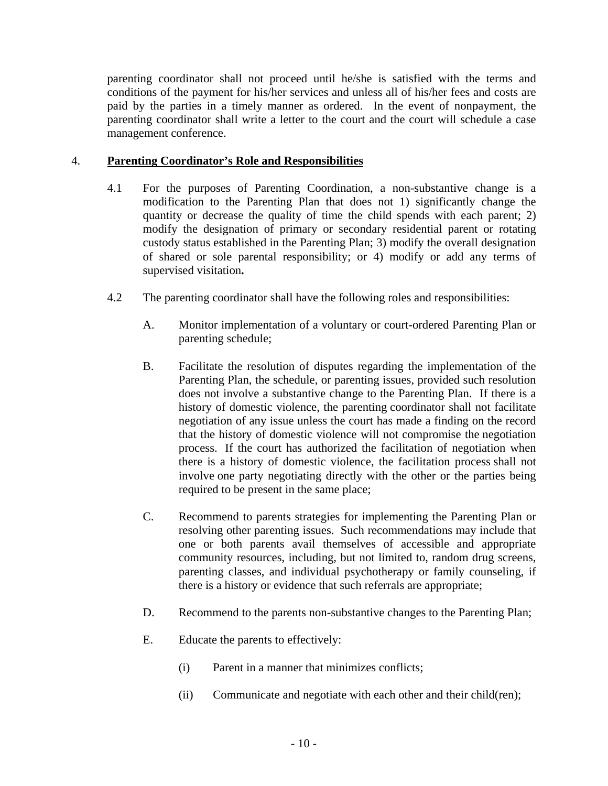parenting coordinator shall not proceed until he/she is satisfied with the terms and conditions of the payment for his/her services and unless all of his/her fees and costs are paid by the parties in a timely manner as ordered. In the event of nonpayment, the parenting coordinator shall write a letter to the court and the court will schedule a case management conference.

# 4. **Parenting Coordinator's Role and Responsibilities**

- 4.1 For the purposes of Parenting Coordination, a non-substantive change is a modification to the Parenting Plan that does not 1) significantly change the quantity or decrease the quality of time the child spends with each parent; 2) modify the designation of primary or secondary residential parent or rotating custody status established in the Parenting Plan; 3) modify the overall designation of shared or sole parental responsibility; or 4) modify or add any terms of supervised visitation**.**
- 4.2 The parenting coordinator shall have the following roles and responsibilities:
	- A. Monitor implementation of a voluntary or court-ordered Parenting Plan or parenting schedule;
	- B. Facilitate the resolution of disputes regarding the implementation of the Parenting Plan, the schedule, or parenting issues, provided such resolution does not involve a substantive change to the Parenting Plan. If there is a history of domestic violence, the parenting coordinator shall not facilitate negotiation of any issue unless the court has made a finding on the record that the history of domestic violence will not compromise the negotiation process. If the court has authorized the facilitation of negotiation when there is a history of domestic violence, the facilitation process shall not involve one party negotiating directly with the other or the parties being required to be present in the same place;
	- C. Recommend to parents strategies for implementing the Parenting Plan or resolving other parenting issues. Such recommendations may include that one or both parents avail themselves of accessible and appropriate community resources, including, but not limited to, random drug screens, parenting classes, and individual psychotherapy or family counseling, if there is a history or evidence that such referrals are appropriate;
	- D. Recommend to the parents non-substantive changes to the Parenting Plan;
	- E. Educate the parents to effectively:
		- (i) Parent in a manner that minimizes conflicts;
		- (ii) Communicate and negotiate with each other and their child(ren);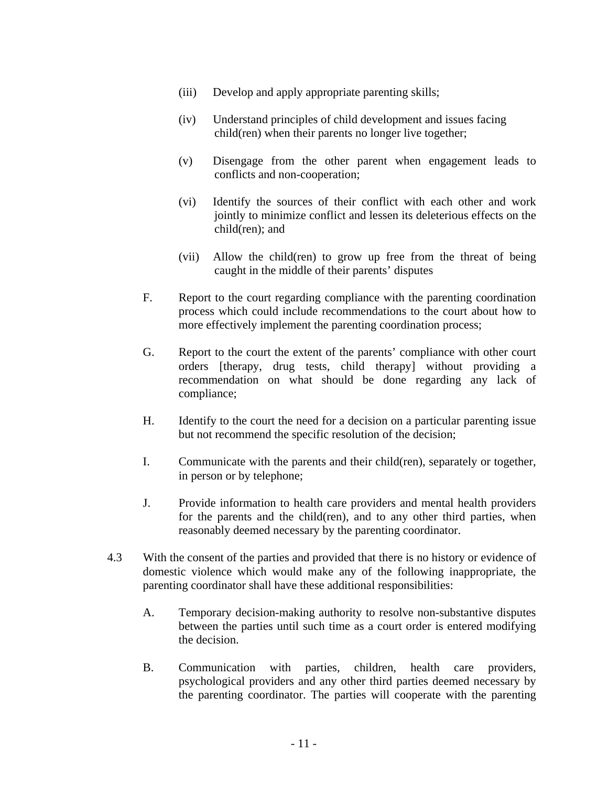- (iii) Develop and apply appropriate parenting skills;
- (iv) Understand principles of child development and issues facing child(ren) when their parents no longer live together;
- (v) Disengage from the other parent when engagement leads to conflicts and non-cooperation;
- (vi) Identify the sources of their conflict with each other and work jointly to minimize conflict and lessen its deleterious effects on the child(ren); and
- (vii) Allow the child(ren) to grow up free from the threat of being caught in the middle of their parents' disputes
- F. Report to the court regarding compliance with the parenting coordination process which could include recommendations to the court about how to more effectively implement the parenting coordination process;
- G. Report to the court the extent of the parents' compliance with other court orders [therapy, drug tests, child therapy] without providing a recommendation on what should be done regarding any lack of compliance;
- H. Identify to the court the need for a decision on a particular parenting issue but not recommend the specific resolution of the decision;
- I. Communicate with the parents and their child(ren), separately or together, in person or by telephone;
- J. Provide information to health care providers and mental health providers for the parents and the child(ren), and to any other third parties, when reasonably deemed necessary by the parenting coordinator.
- 4.3 With the consent of the parties and provided that there is no history or evidence of domestic violence which would make any of the following inappropriate, the parenting coordinator shall have these additional responsibilities:
	- A. Temporary decision-making authority to resolve non-substantive disputes between the parties until such time as a court order is entered modifying the decision.
	- B. Communication with parties, children, health care providers, psychological providers and any other third parties deemed necessary by the parenting coordinator. The parties will cooperate with the parenting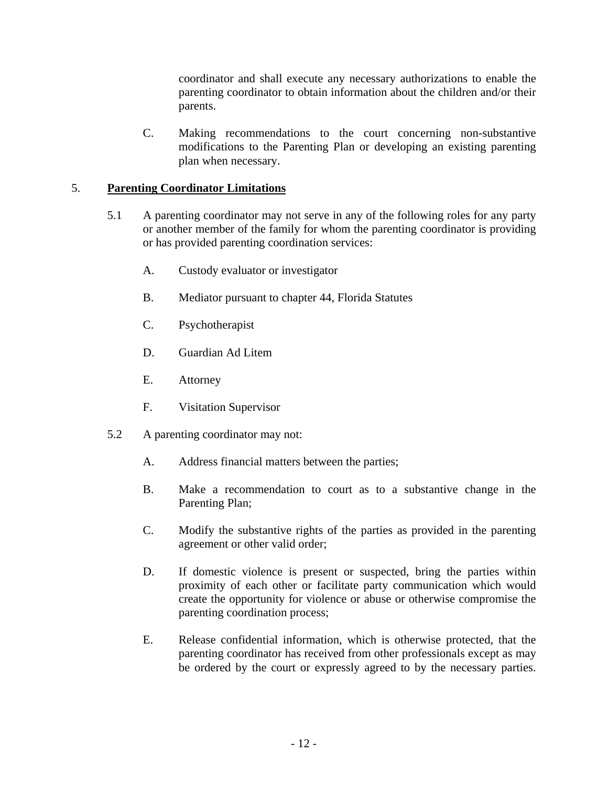coordinator and shall execute any necessary authorizations to enable the parenting coordinator to obtain information about the children and/or their parents.

C. Making recommendations to the court concerning non-substantive modifications to the Parenting Plan or developing an existing parenting plan when necessary.

# 5. **Parenting Coordinator Limitations**

- 5.1 A parenting coordinator may not serve in any of the following roles for any party or another member of the family for whom the parenting coordinator is providing or has provided parenting coordination services:
	- A. Custody evaluator or investigator
	- B. Mediator pursuant to chapter 44, Florida Statutes
	- C. Psychotherapist
	- D. Guardian Ad Litem
	- E. Attorney
	- F. Visitation Supervisor
- 5.2 A parenting coordinator may not:
	- A. Address financial matters between the parties;
	- B. Make a recommendation to court as to a substantive change in the Parenting Plan;
	- C. Modify the substantive rights of the parties as provided in the parenting agreement or other valid order;
	- D. If domestic violence is present or suspected, bring the parties within proximity of each other or facilitate party communication which would create the opportunity for violence or abuse or otherwise compromise the parenting coordination process;
	- E. Release confidential information, which is otherwise protected, that the parenting coordinator has received from other professionals except as may be ordered by the court or expressly agreed to by the necessary parties.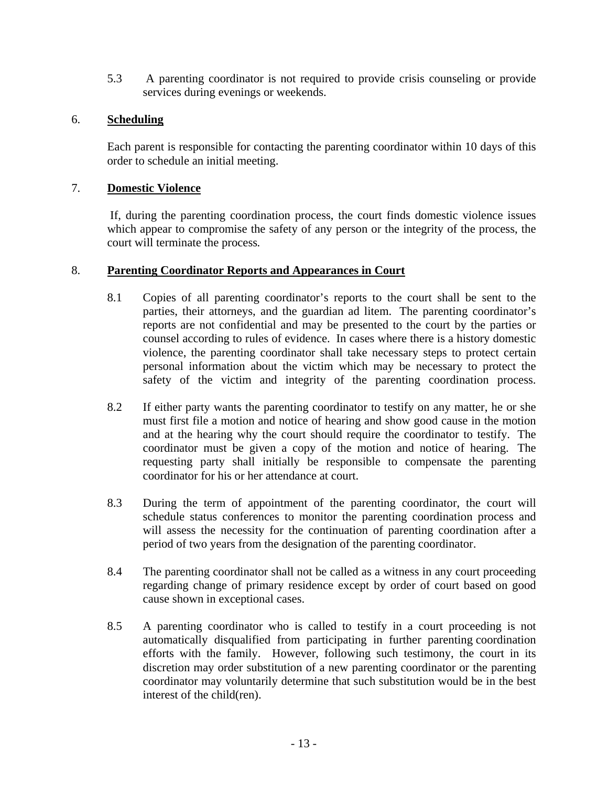5.3 A parenting coordinator is not required to provide crisis counseling or provide services during evenings or weekends.

## 6. **Scheduling**

 Each parent is responsible for contacting the parenting coordinator within 10 days of this order to schedule an initial meeting.

### 7. **Domestic Violence**

If, during the parenting coordination process, the court finds domestic violence issues which appear to compromise the safety of any person or the integrity of the process, the court will terminate the process*.* 

### 8. **Parenting Coordinator Reports and Appearances in Court**

- 8.1 Copies of all parenting coordinator's reports to the court shall be sent to the parties, their attorneys, and the guardian ad litem. The parenting coordinator's reports are not confidential and may be presented to the court by the parties or counsel according to rules of evidence. In cases where there is a history domestic violence, the parenting coordinator shall take necessary steps to protect certain personal information about the victim which may be necessary to protect the safety of the victim and integrity of the parenting coordination process.
- 8.2 If either party wants the parenting coordinator to testify on any matter, he or she must first file a motion and notice of hearing and show good cause in the motion and at the hearing why the court should require the coordinator to testify. The coordinator must be given a copy of the motion and notice of hearing. The requesting party shall initially be responsible to compensate the parenting coordinator for his or her attendance at court.
- 8.3 During the term of appointment of the parenting coordinator, the court will schedule status conferences to monitor the parenting coordination process and will assess the necessity for the continuation of parenting coordination after a period of two years from the designation of the parenting coordinator.
- 8.4 The parenting coordinator shall not be called as a witness in any court proceeding regarding change of primary residence except by order of court based on good cause shown in exceptional cases.
- 8.5 A parenting coordinator who is called to testify in a court proceeding is not automatically disqualified from participating in further parenting coordination efforts with the family. However, following such testimony, the court in its discretion may order substitution of a new parenting coordinator or the parenting coordinator may voluntarily determine that such substitution would be in the best interest of the child(ren).